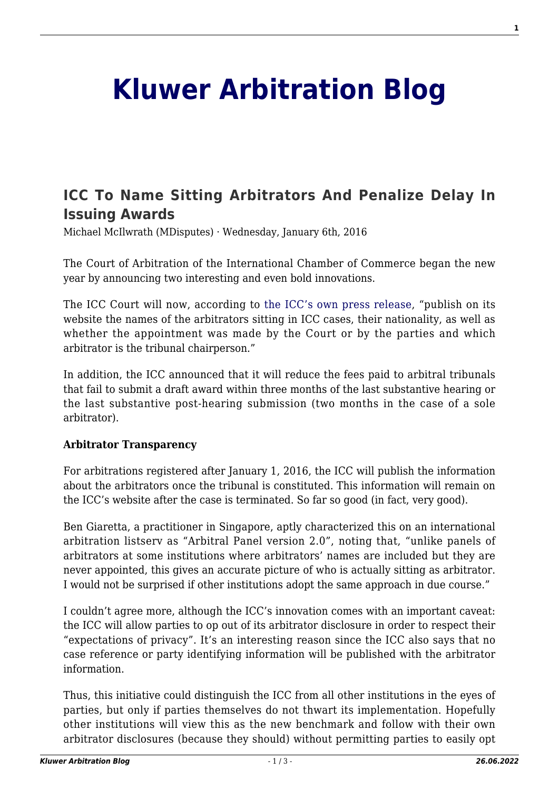# **[Kluwer Arbitration Blog](http://arbitrationblog.kluwerarbitration.com/)**

## **[ICC To Name Sitting Arbitrators And Penalize Delay In](http://arbitrationblog.kluwerarbitration.com/2016/01/06/icc-to-name-sitting-arbitrators-and-penalize-delay-in-issuing-awards/) [Issuing Awards](http://arbitrationblog.kluwerarbitration.com/2016/01/06/icc-to-name-sitting-arbitrators-and-penalize-delay-in-issuing-awards/)**

Michael McIlwrath (MDisputes) · Wednesday, January 6th, 2016

The Court of Arbitration of the International Chamber of Commerce began the new year by announcing two interesting and even bold innovations.

The ICC Court will now, according to [the ICC's own press release,](http://www.iccwbo.org/News/Articles/2016/ICC-Court-announces-new-policies-to-foster-transparency-and-ensure-greater-efficiency/) "publish on its website the names of the arbitrators sitting in ICC cases, their nationality, as well as whether the appointment was made by the Court or by the parties and which arbitrator is the tribunal chairperson."

In addition, the ICC announced that it will reduce the fees paid to arbitral tribunals that fail to submit a draft award within three months of the last substantive hearing or the last substantive post-hearing submission (two months in the case of a sole arbitrator).

#### **Arbitrator Transparency**

For arbitrations registered after January 1, 2016, the ICC will publish the information about the arbitrators once the tribunal is constituted. This information will remain on the ICC's website after the case is terminated. So far so good (in fact, very good).

Ben Giaretta, a practitioner in Singapore, aptly characterized this on an international arbitration listserv as "Arbitral Panel version 2.0", noting that, "unlike panels of arbitrators at some institutions where arbitrators' names are included but they are never appointed, this gives an accurate picture of who is actually sitting as arbitrator. I would not be surprised if other institutions adopt the same approach in due course."

I couldn't agree more, although the ICC's innovation comes with an important caveat: the ICC will allow parties to op out of its arbitrator disclosure in order to respect their "expectations of privacy". It's an interesting reason since the ICC also says that no case reference or party identifying information will be published with the arbitrator information.

Thus, this initiative could distinguish the ICC from all other institutions in the eyes of parties, but only if parties themselves do not thwart its implementation. Hopefully other institutions will view this as the new benchmark and follow with their own arbitrator disclosures (because they should) without permitting parties to easily opt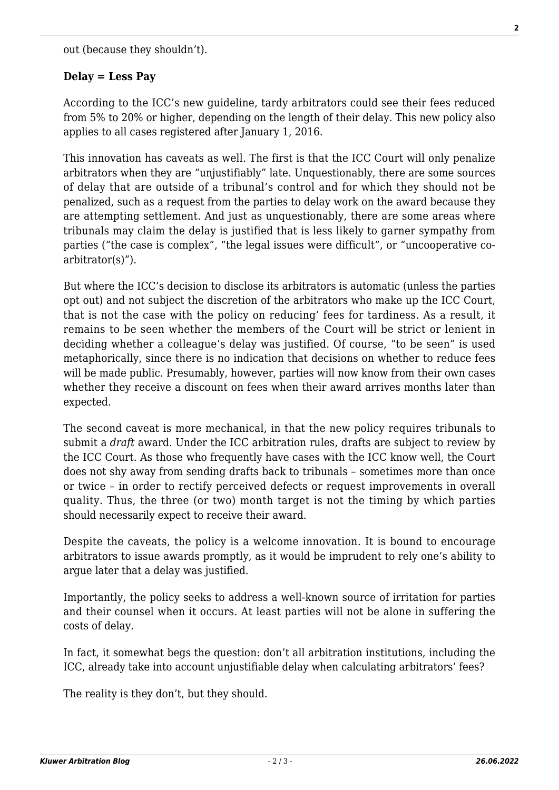out (because they shouldn't).

### **Delay = Less Pay**

According to the ICC's new guideline, tardy arbitrators could see their fees reduced from 5% to 20% or higher, depending on the length of their delay. This new policy also applies to all cases registered after January 1, 2016.

This innovation has caveats as well. The first is that the ICC Court will only penalize arbitrators when they are "unjustifiably" late. Unquestionably, there are some sources of delay that are outside of a tribunal's control and for which they should not be penalized, such as a request from the parties to delay work on the award because they are attempting settlement. And just as unquestionably, there are some areas where tribunals may claim the delay is justified that is less likely to garner sympathy from parties ("the case is complex", "the legal issues were difficult", or "uncooperative coarbitrator(s)").

But where the ICC's decision to disclose its arbitrators is automatic (unless the parties opt out) and not subject the discretion of the arbitrators who make up the ICC Court, that is not the case with the policy on reducing' fees for tardiness. As a result, it remains to be seen whether the members of the Court will be strict or lenient in deciding whether a colleague's delay was justified. Of course, "to be seen" is used metaphorically, since there is no indication that decisions on whether to reduce fees will be made public. Presumably, however, parties will now know from their own cases whether they receive a discount on fees when their award arrives months later than expected.

The second caveat is more mechanical, in that the new policy requires tribunals to submit a *draft* award. Under the ICC arbitration rules, drafts are subject to review by the ICC Court. As those who frequently have cases with the ICC know well, the Court does not shy away from sending drafts back to tribunals – sometimes more than once or twice – in order to rectify perceived defects or request improvements in overall quality. Thus, the three (or two) month target is not the timing by which parties should necessarily expect to receive their award.

Despite the caveats, the policy is a welcome innovation. It is bound to encourage arbitrators to issue awards promptly, as it would be imprudent to rely one's ability to argue later that a delay was justified.

Importantly, the policy seeks to address a well-known source of irritation for parties and their counsel when it occurs. At least parties will not be alone in suffering the costs of delay.

In fact, it somewhat begs the question: don't all arbitration institutions, including the ICC, already take into account unjustifiable delay when calculating arbitrators' fees?

The reality is they don't, but they should.